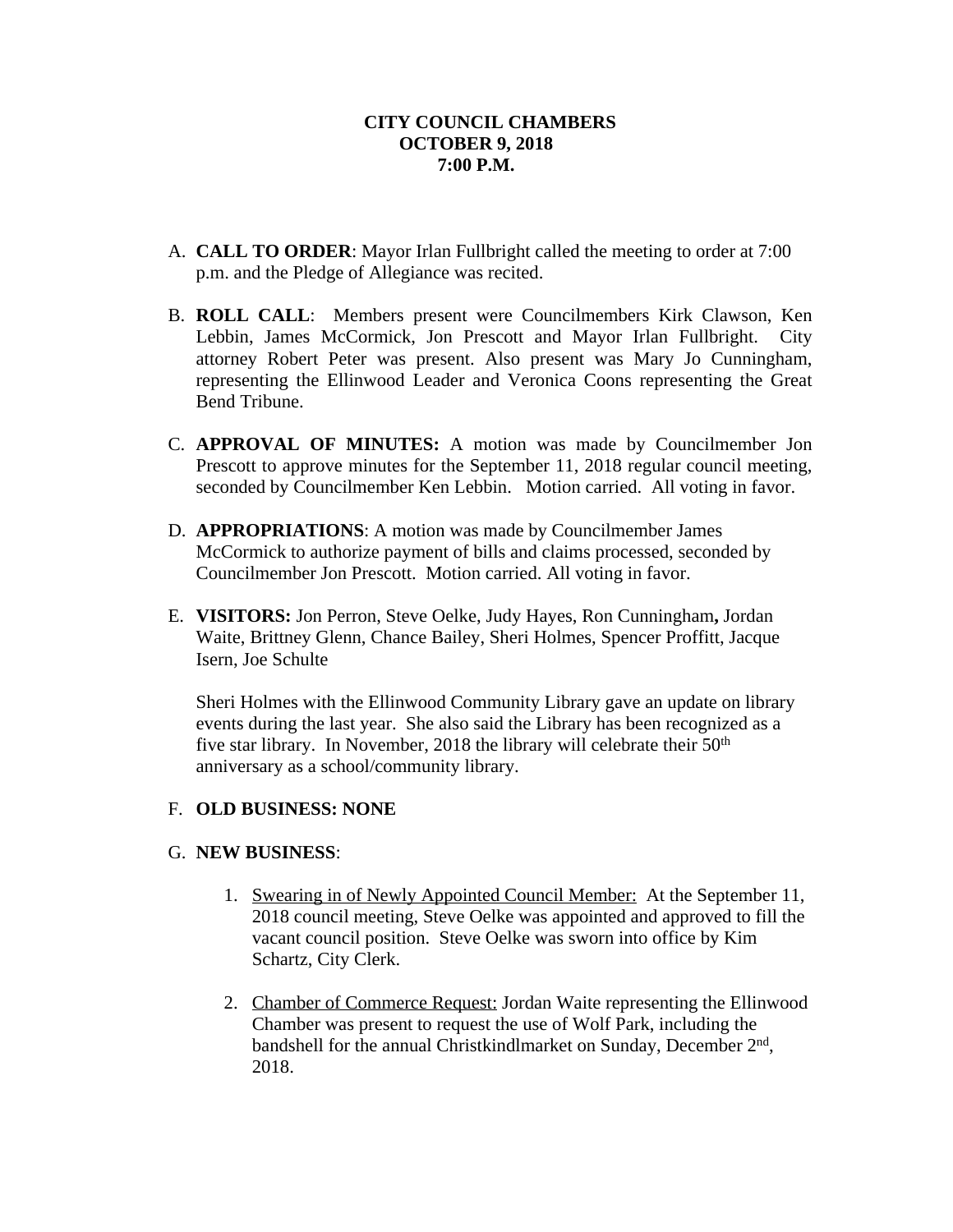- A. **CALL TO ORDER**: Mayor Irlan Fullbright called the meeting to order at 7:00 p.m. and the Pledge of Allegiance was recited.
- B. **ROLL CALL**: Members present were Councilmembers Kirk Clawson, Ken Lebbin, James McCormick, Jon Prescott and Mayor Irlan Fullbright. City attorney Robert Peter was present. Also present was Mary Jo Cunningham, representing the Ellinwood Leader and Veronica Coons representing the Great Bend Tribune.
- C. **APPROVAL OF MINUTES:** A motion was made by Councilmember Jon Prescott to approve minutes for the September 11, 2018 regular council meeting, seconded by Councilmember Ken Lebbin. Motion carried. All voting in favor.
- D. **APPROPRIATIONS**: A motion was made by Councilmember James McCormick to authorize payment of bills and claims processed, seconded by Councilmember Jon Prescott. Motion carried. All voting in favor.
- E. **VISITORS:** Jon Perron, Steve Oelke, Judy Hayes, Ron Cunningham**,** Jordan Waite, Brittney Glenn, Chance Bailey, Sheri Holmes, Spencer Proffitt, Jacque Isern, Joe Schulte

Sheri Holmes with the Ellinwood Community Library gave an update on library events during the last year. She also said the Library has been recognized as a five star library. In November, 2018 the library will celebrate their  $50<sup>th</sup>$ anniversary as a school/community library.

# F. **OLD BUSINESS: NONE**

# G. **NEW BUSINESS**:

- 1. Swearing in of Newly Appointed Council Member: At the September 11, 2018 council meeting, Steve Oelke was appointed and approved to fill the vacant council position. Steve Oelke was sworn into office by Kim Schartz, City Clerk.
- 2. Chamber of Commerce Request: Jordan Waite representing the Ellinwood Chamber was present to request the use of Wolf Park, including the bandshell for the annual Christkindlmarket on Sunday, December 2<sup>nd</sup>, 2018.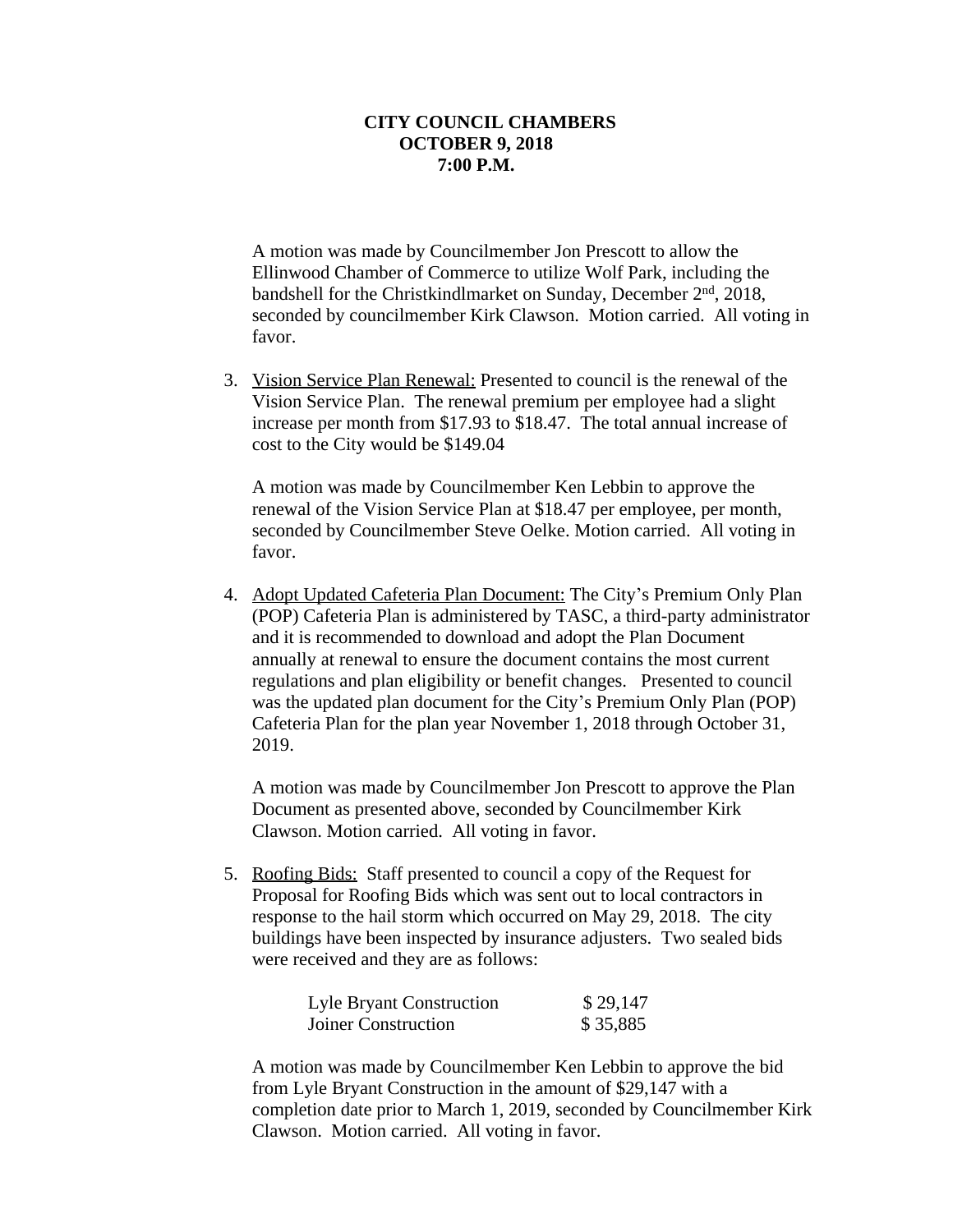A motion was made by Councilmember Jon Prescott to allow the Ellinwood Chamber of Commerce to utilize Wolf Park, including the bandshell for the Christkindlmarket on Sunday, December 2<sup>nd</sup>, 2018, seconded by councilmember Kirk Clawson. Motion carried. All voting in favor.

3. Vision Service Plan Renewal: Presented to council is the renewal of the Vision Service Plan. The renewal premium per employee had a slight increase per month from \$17.93 to \$18.47. The total annual increase of cost to the City would be \$149.04

A motion was made by Councilmember Ken Lebbin to approve the renewal of the Vision Service Plan at \$18.47 per employee, per month, seconded by Councilmember Steve Oelke. Motion carried. All voting in favor.

4. Adopt Updated Cafeteria Plan Document: The City's Premium Only Plan (POP) Cafeteria Plan is administered by TASC, a third-party administrator and it is recommended to download and adopt the Plan Document annually at renewal to ensure the document contains the most current regulations and plan eligibility or benefit changes. Presented to council was the updated plan document for the City's Premium Only Plan (POP) Cafeteria Plan for the plan year November 1, 2018 through October 31, 2019.

A motion was made by Councilmember Jon Prescott to approve the Plan Document as presented above, seconded by Councilmember Kirk Clawson. Motion carried. All voting in favor.

5. Roofing Bids: Staff presented to council a copy of the Request for Proposal for Roofing Bids which was sent out to local contractors in response to the hail storm which occurred on May 29, 2018. The city buildings have been inspected by insurance adjusters. Two sealed bids were received and they are as follows:

| Lyle Bryant Construction | \$29,147 |
|--------------------------|----------|
| Joiner Construction      | \$35,885 |

A motion was made by Councilmember Ken Lebbin to approve the bid from Lyle Bryant Construction in the amount of \$29,147 with a completion date prior to March 1, 2019, seconded by Councilmember Kirk Clawson. Motion carried. All voting in favor.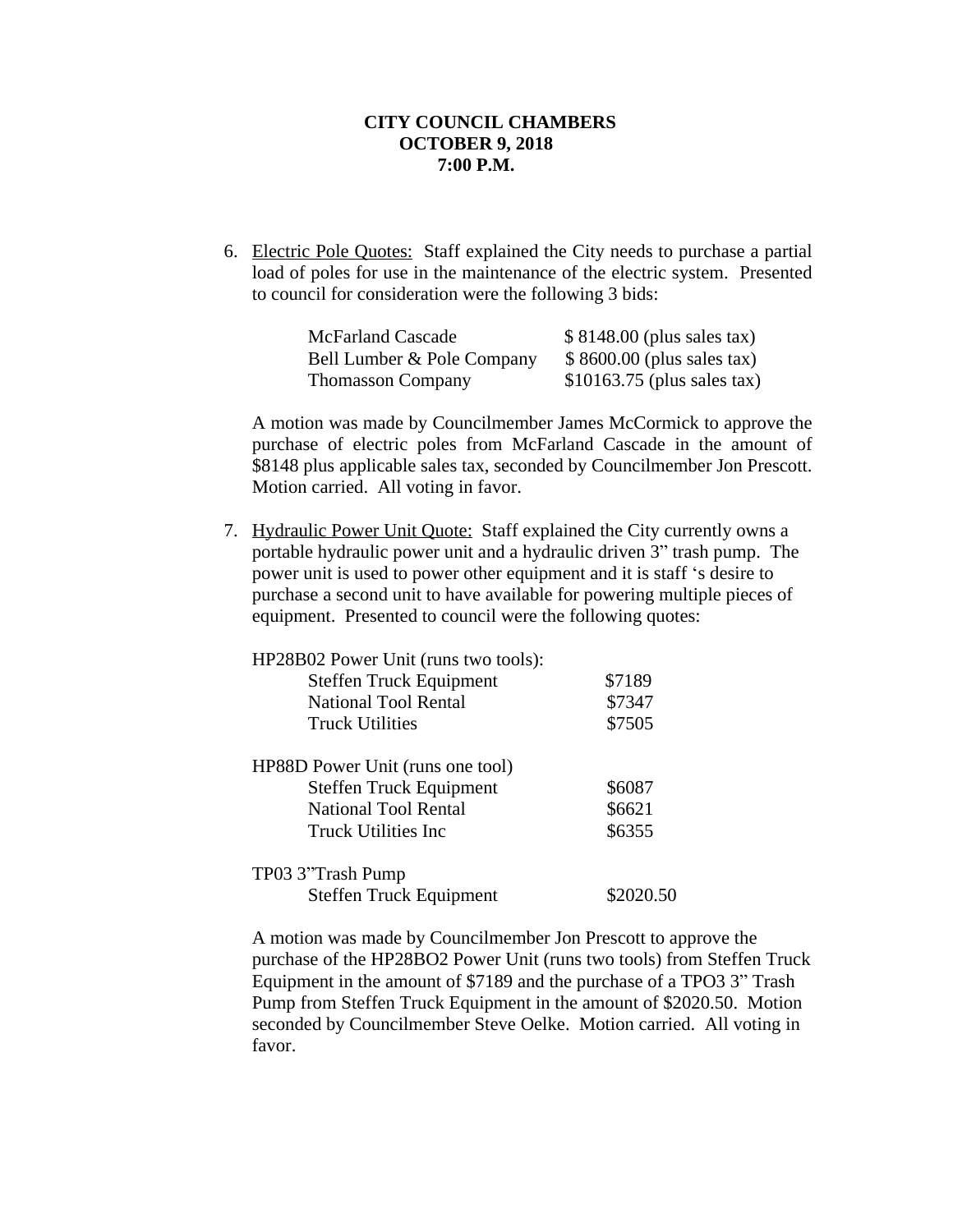6. Electric Pole Quotes: Staff explained the City needs to purchase a partial load of poles for use in the maintenance of the electric system. Presented to council for consideration were the following 3 bids:

| <b>McFarland Cascade</b>   | $$8148.00$ (plus sales tax)  |
|----------------------------|------------------------------|
| Bell Lumber & Pole Company | $$8600.00$ (plus sales tax)  |
| <b>Thomasson Company</b>   | $$10163.75$ (plus sales tax) |

A motion was made by Councilmember James McCormick to approve the purchase of electric poles from McFarland Cascade in the amount of \$8148 plus applicable sales tax, seconded by Councilmember Jon Prescott. Motion carried. All voting in favor.

7. Hydraulic Power Unit Quote: Staff explained the City currently owns a portable hydraulic power unit and a hydraulic driven 3" trash pump. The power unit is used to power other equipment and it is staff 's desire to purchase a second unit to have available for powering multiple pieces of equipment. Presented to council were the following quotes:

| HP28B02 Power Unit (runs two tools): |        |
|--------------------------------------|--------|
| <b>Steffen Truck Equipment</b>       | \$7189 |
| <b>National Tool Rental</b>          | \$7347 |
| <b>Truck Utilities</b>               | \$7505 |
| HP88D Power Unit (runs one tool)     |        |
| <b>Steffen Truck Equipment</b>       | \$6087 |
| <b>National Tool Rental</b>          | \$6621 |
| Truck Utilities Inc                  | \$6355 |
| TP03 3"Trash Pump                    |        |
| <b>Steffen Truck Equipment</b>       |        |

A motion was made by Councilmember Jon Prescott to approve the purchase of the HP28BO2 Power Unit (runs two tools) from Steffen Truck Equipment in the amount of \$7189 and the purchase of a TPO3 3" Trash Pump from Steffen Truck Equipment in the amount of \$2020.50. Motion seconded by Councilmember Steve Oelke. Motion carried. All voting in favor.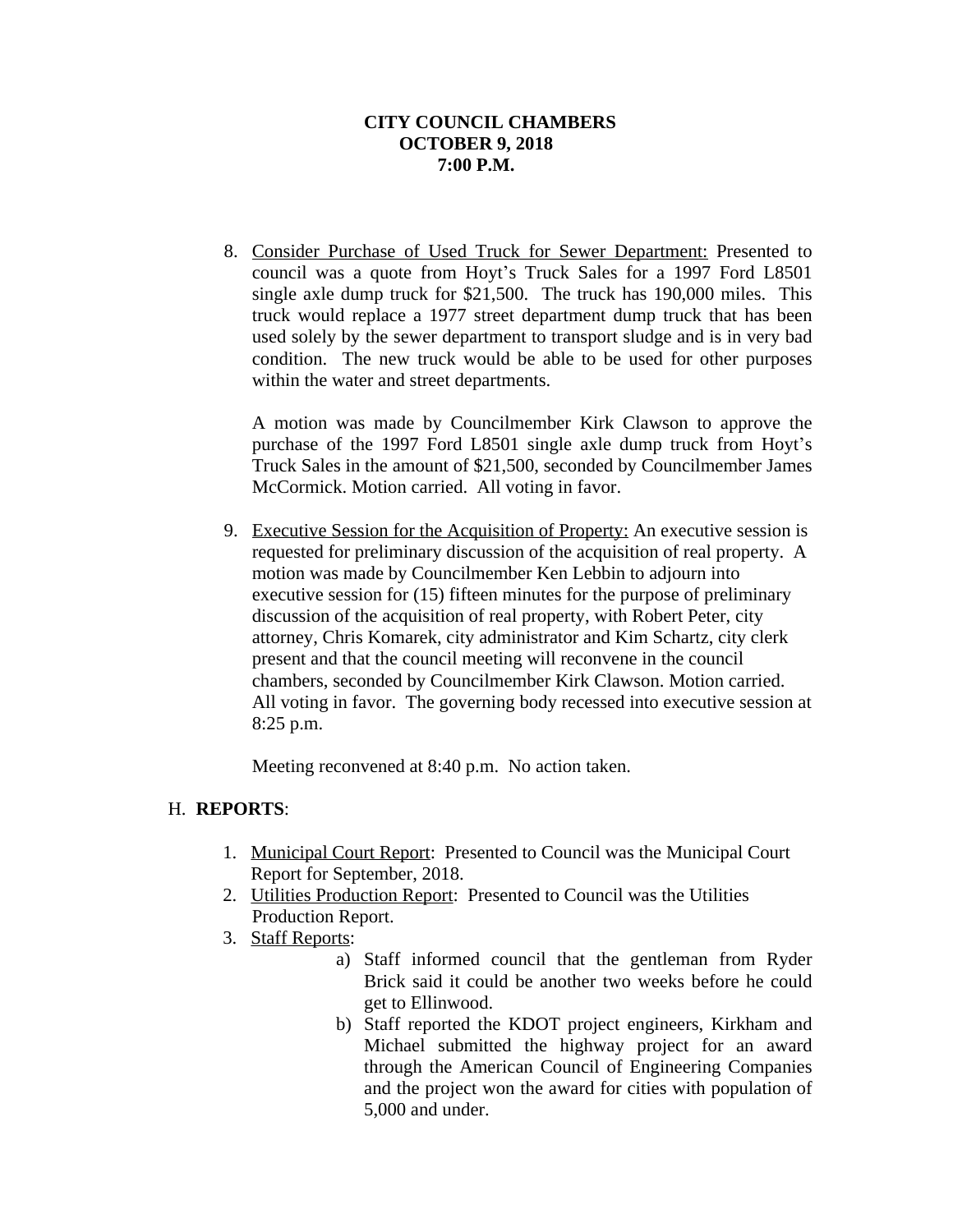8. Consider Purchase of Used Truck for Sewer Department: Presented to council was a quote from Hoyt's Truck Sales for a 1997 Ford L8501 single axle dump truck for \$21,500. The truck has 190,000 miles. This truck would replace a 1977 street department dump truck that has been used solely by the sewer department to transport sludge and is in very bad condition. The new truck would be able to be used for other purposes within the water and street departments.

A motion was made by Councilmember Kirk Clawson to approve the purchase of the 1997 Ford L8501 single axle dump truck from Hoyt's Truck Sales in the amount of \$21,500, seconded by Councilmember James McCormick. Motion carried. All voting in favor.

9. Executive Session for the Acquisition of Property: An executive session is requested for preliminary discussion of the acquisition of real property. A motion was made by Councilmember Ken Lebbin to adjourn into executive session for (15) fifteen minutes for the purpose of preliminary discussion of the acquisition of real property, with Robert Peter, city attorney, Chris Komarek, city administrator and Kim Schartz, city clerk present and that the council meeting will reconvene in the council chambers, seconded by Councilmember Kirk Clawson. Motion carried. All voting in favor. The governing body recessed into executive session at 8:25 p.m.

Meeting reconvened at 8:40 p.m. No action taken.

# H. **REPORTS**:

- 1. Municipal Court Report: Presented to Council was the Municipal Court Report for September, 2018.
- 2. Utilities Production Report: Presented to Council was the Utilities Production Report.
- 3. Staff Reports:
	- a) Staff informed council that the gentleman from Ryder Brick said it could be another two weeks before he could get to Ellinwood.
	- b) Staff reported the KDOT project engineers, Kirkham and Michael submitted the highway project for an award through the American Council of Engineering Companies and the project won the award for cities with population of 5,000 and under.